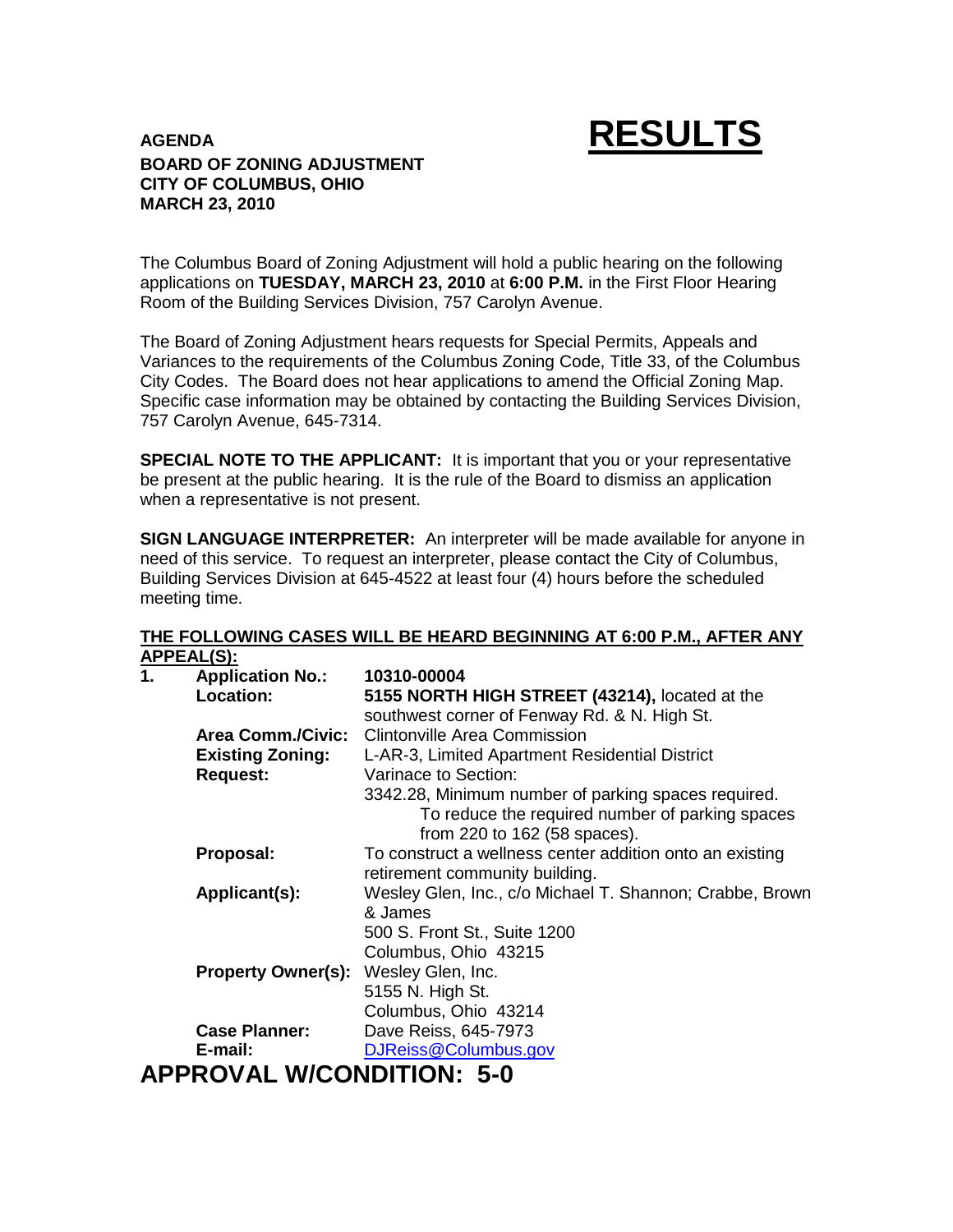# **AGENDA RESULTS**

### **BOARD OF ZONING ADJUSTMENT CITY OF COLUMBUS, OHIO MARCH 23, 2010**

The Columbus Board of Zoning Adjustment will hold a public hearing on the following applications on **TUESDAY, MARCH 23, 2010** at **6:00 P.M.** in the First Floor Hearing Room of the Building Services Division, 757 Carolyn Avenue.

The Board of Zoning Adjustment hears requests for Special Permits, Appeals and Variances to the requirements of the Columbus Zoning Code, Title 33, of the Columbus City Codes. The Board does not hear applications to amend the Official Zoning Map. Specific case information may be obtained by contacting the Building Services Division, 757 Carolyn Avenue, 645-7314.

**SPECIAL NOTE TO THE APPLICANT:** It is important that you or your representative be present at the public hearing. It is the rule of the Board to dismiss an application when a representative is not present.

**SIGN LANGUAGE INTERPRETER:** An interpreter will be made available for anyone in need of this service. To request an interpreter, please contact the City of Columbus, Building Services Division at 645-4522 at least four (4) hours before the scheduled meeting time.

#### **THE FOLLOWING CASES WILL BE HEARD BEGINNING AT 6:00 P.M., AFTER ANY APPEAL(S):**

| 1. | , , , , , , , , , , ,<br><b>Application No.:</b> | 10310-00004                                              |
|----|--------------------------------------------------|----------------------------------------------------------|
|    | <b>Location:</b>                                 | 5155 NORTH HIGH STREET (43214), located at the           |
|    |                                                  | southwest corner of Fenway Rd. & N. High St.             |
|    | <b>Area Comm./Civic:</b>                         | <b>Clintonville Area Commission</b>                      |
|    | <b>Existing Zoning:</b>                          | L-AR-3, Limited Apartment Residential District           |
|    | <b>Request:</b>                                  | Varinace to Section:                                     |
|    |                                                  | 3342.28, Minimum number of parking spaces required.      |
|    |                                                  | To reduce the required number of parking spaces          |
|    |                                                  | from 220 to 162 (58 spaces).                             |
|    | Proposal:                                        | To construct a wellness center addition onto an existing |
|    |                                                  | retirement community building.                           |
|    | Applicant(s):                                    | Wesley Glen, Inc., c/o Michael T. Shannon; Crabbe, Brown |
|    |                                                  | & James                                                  |
|    |                                                  | 500 S. Front St., Suite 1200                             |
|    |                                                  | Columbus, Ohio 43215                                     |
|    | <b>Property Owner(s):</b> Wesley Glen, Inc.      |                                                          |
|    |                                                  | 5155 N. High St.                                         |
|    |                                                  | Columbus, Ohio 43214                                     |
|    | <b>Case Planner:</b>                             | Dave Reiss, 645-7973                                     |
|    | E-mail:                                          | DJReiss@Columbus.gov                                     |
|    | <b>APPROVAL W/CONDITION: 5-0</b>                 |                                                          |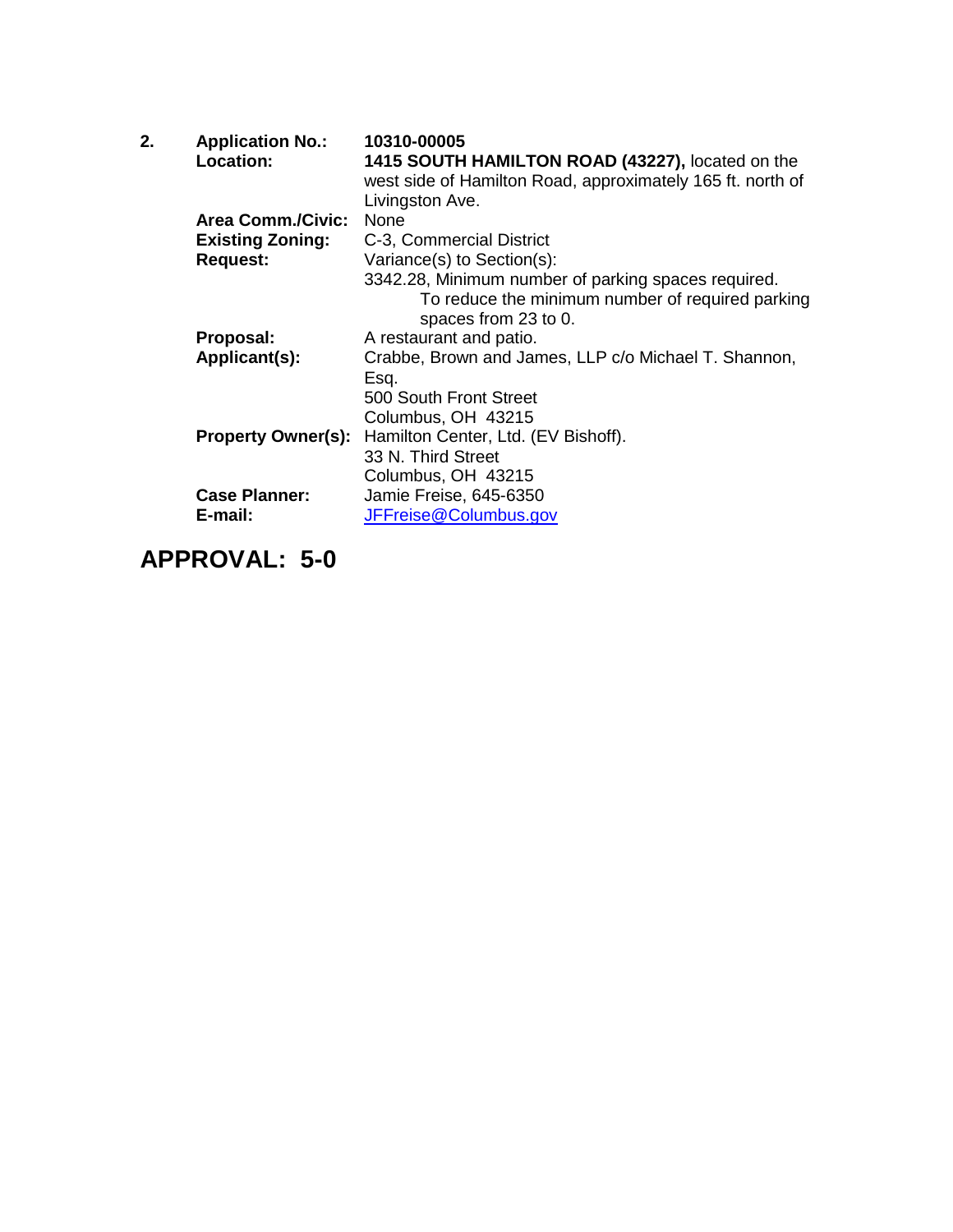| 2. | <b>Application No.:</b><br>Location: | 10310-00005<br>1415 SOUTH HAMILTON ROAD (43227), located on the<br>west side of Hamilton Road, approximately 165 ft. north of<br>Livingston Ave. |
|----|--------------------------------------|--------------------------------------------------------------------------------------------------------------------------------------------------|
|    | <b>Area Comm./Civic:</b>             | None                                                                                                                                             |
|    | <b>Existing Zoning:</b>              | C-3, Commercial District                                                                                                                         |
|    | <b>Request:</b>                      | Variance(s) to Section(s):                                                                                                                       |
|    |                                      | 3342.28, Minimum number of parking spaces required.<br>To reduce the minimum number of required parking<br>spaces from 23 to 0.                  |
|    | Proposal:                            | A restaurant and patio.                                                                                                                          |
|    | Applicant(s):                        | Crabbe, Brown and James, LLP c/o Michael T. Shannon,<br>Esq.                                                                                     |
|    |                                      | 500 South Front Street                                                                                                                           |
|    |                                      | Columbus, OH 43215                                                                                                                               |
|    | <b>Property Owner(s):</b>            | Hamilton Center, Ltd. (EV Bishoff).                                                                                                              |
|    |                                      | 33 N. Third Street                                                                                                                               |
|    |                                      | Columbus, OH 43215                                                                                                                               |
|    | <b>Case Planner:</b>                 | Jamie Freise, 645-6350                                                                                                                           |
|    | E-mail:                              | JFFreise@Columbus.gov                                                                                                                            |
|    |                                      |                                                                                                                                                  |

## **APPROVAL: 5-0**